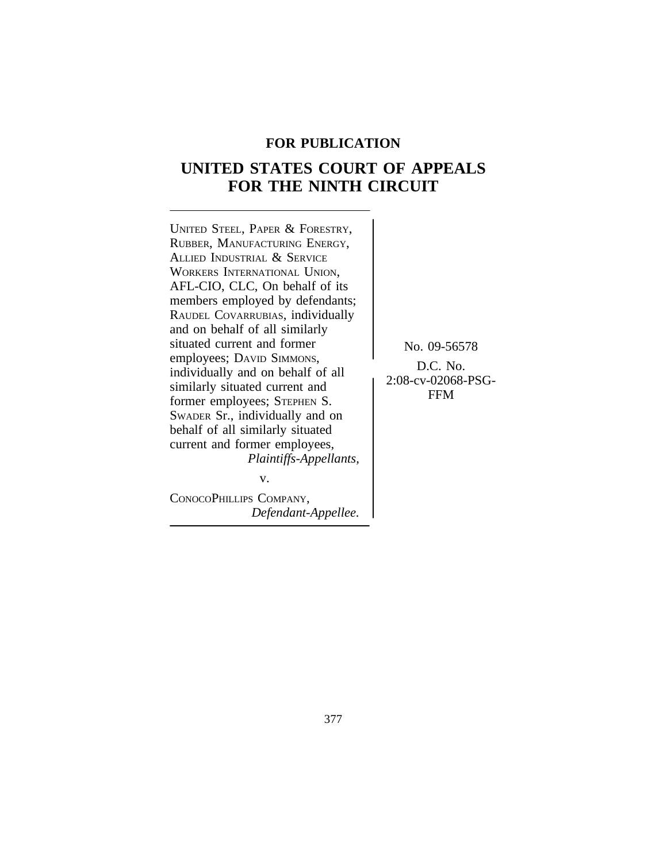## **FOR PUBLICATION**

# **UNITED STATES COURT OF APPEALS FOR THE NINTH CIRCUIT**

<sup>U</sup>NITED STEEL, PAPER & FORESTRY, RUBBER, MANUFACTURING ENERGY, ALLIED INDUSTRIAL & SERVICE WORKERS INTERNATIONAL UNION, AFL-CIO, CLC, On behalf of its members employed by defendants; RAUDEL COVARRUBIAS, individually and on behalf of all similarly situated current and former No. 09-56578 employees; DAVID SIMMONS, Employees, DAVID SIMMONS,<br>individually and on behalf of all<br>similarly situated current and<br> $2:08\text{-}cv\text{-}02068\text{-}PSG\text{-}12068\text{-}V$ EXIMITED SITUATED CURRENT AND SITUATED SITES FOR STEPHEN S. SWADER Sr., individually and on behalf of all similarly situated current and former employees, *Plaintiffs-Appellants,*

CONOCOPHILLIPS COMPANY, *Defendant-Appellee.*

v.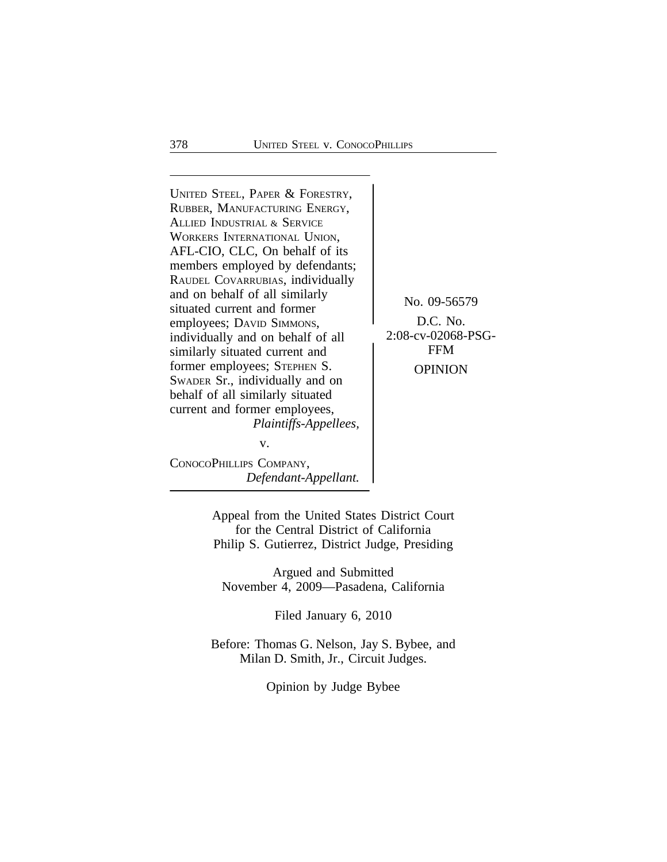<sup>U</sup>NITED STEEL, PAPER & FORESTRY, RUBBER, MANUFACTURING ENERGY, ALLIED INDUSTRIAL & SERVICE WORKERS INTERNATIONAL UNION, AFL-CIO, CLC, On behalf of its members employed by defendants; RAUDEL COVARRUBIAS, individually and on behalf of all similarly<br>situated current and former<br>employees: DAVID SIMMONS. D.C. No. employees; DAVID SIMMONS,<br>individually and on behalf of all <br>2:08-cv-02068-PSGindividually and on behalf of all  $\int_{\text{208-cv-0206}}^{2:08-cv-0206}$ similarly situated current and former employees; STEPHEN S. OPINION SWADER Sr., individually and on behalf of all similarly situated current and former employees, *Plaintiffs-Appellees,* v.

CONOCOPHILLIPS COMPANY, *Defendant-Appellant.*

Appeal from the United States District Court for the Central District of California Philip S. Gutierrez, District Judge, Presiding

Argued and Submitted November 4, 2009—Pasadena, California

Filed January 6, 2010

Before: Thomas G. Nelson, Jay S. Bybee, and Milan D. Smith, Jr., Circuit Judges.

Opinion by Judge Bybee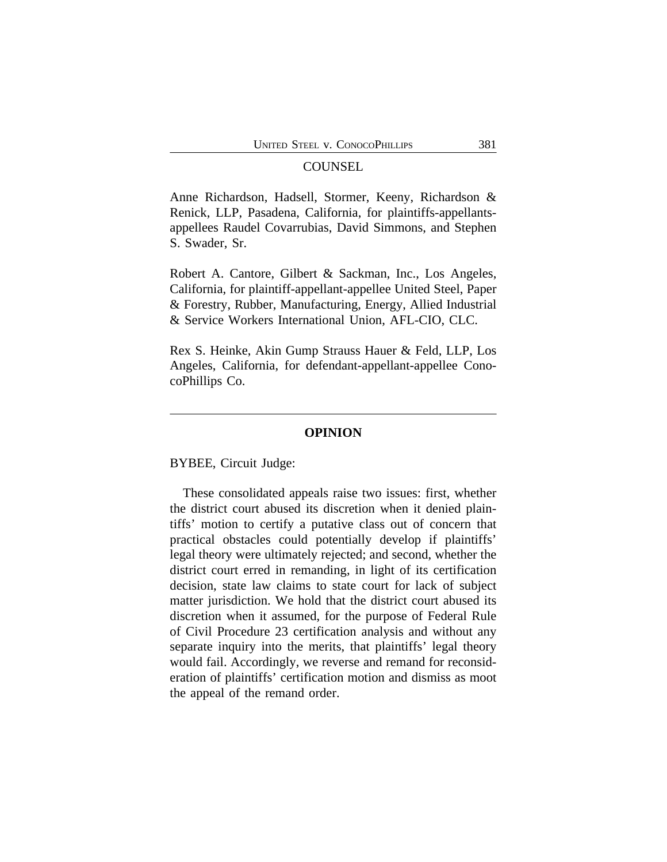### **COUNSEL**

Anne Richardson, Hadsell, Stormer, Keeny, Richardson & Renick, LLP, Pasadena, California, for plaintiffs-appellantsappellees Raudel Covarrubias, David Simmons, and Stephen S. Swader, Sr.

Robert A. Cantore, Gilbert & Sackman, Inc., Los Angeles, California, for plaintiff-appellant-appellee United Steel, Paper & Forestry, Rubber, Manufacturing, Energy, Allied Industrial & Service Workers International Union, AFL-CIO, CLC.

Rex S. Heinke, Akin Gump Strauss Hauer & Feld, LLP, Los Angeles, California, for defendant-appellant-appellee ConocoPhillips Co.

#### **OPINION**

BYBEE, Circuit Judge:

These consolidated appeals raise two issues: first, whether the district court abused its discretion when it denied plaintiffs' motion to certify a putative class out of concern that practical obstacles could potentially develop if plaintiffs' legal theory were ultimately rejected; and second, whether the district court erred in remanding, in light of its certification decision, state law claims to state court for lack of subject matter jurisdiction. We hold that the district court abused its discretion when it assumed, for the purpose of Federal Rule of Civil Procedure 23 certification analysis and without any separate inquiry into the merits, that plaintiffs' legal theory would fail. Accordingly, we reverse and remand for reconsideration of plaintiffs' certification motion and dismiss as moot the appeal of the remand order.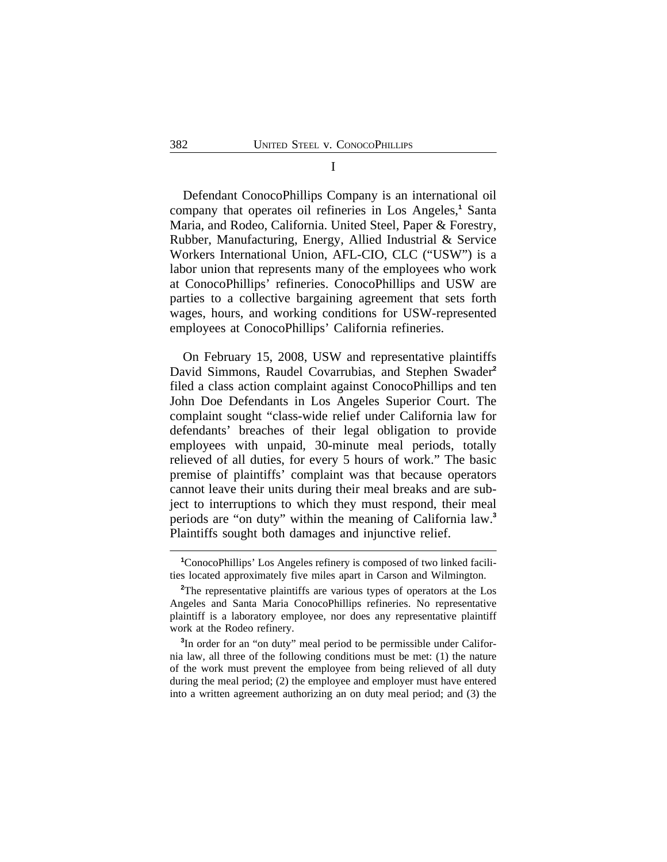Defendant ConocoPhillips Company is an international oil company that operates oil refineries in Los Angeles,<sup>1</sup> Santa Maria, and Rodeo, California. United Steel, Paper & Forestry, Rubber, Manufacturing, Energy, Allied Industrial & Service Workers International Union, AFL-CIO, CLC ("USW") is a labor union that represents many of the employees who work at ConocoPhillips' refineries. ConocoPhillips and USW are parties to a collective bargaining agreement that sets forth wages, hours, and working conditions for USW-represented employees at ConocoPhillips' California refineries.

On February 15, 2008, USW and representative plaintiffs David Simmons, Raudel Covarrubias, and Stephen Swader**<sup>2</sup>** filed a class action complaint against ConocoPhillips and ten John Doe Defendants in Los Angeles Superior Court. The complaint sought "class-wide relief under California law for defendants' breaches of their legal obligation to provide employees with unpaid, 30-minute meal periods, totally relieved of all duties, for every 5 hours of work." The basic premise of plaintiffs' complaint was that because operators cannot leave their units during their meal breaks and are subject to interruptions to which they must respond, their meal periods are "on duty" within the meaning of California law.**<sup>3</sup>** Plaintiffs sought both damages and injunctive relief.

**<sup>1</sup>**ConocoPhillips' Los Angeles refinery is composed of two linked facilities located approximately five miles apart in Carson and Wilmington.

<sup>&</sup>lt;sup>2</sup>The representative plaintiffs are various types of operators at the Los Angeles and Santa Maria ConocoPhillips refineries. No representative plaintiff is a laboratory employee, nor does any representative plaintiff work at the Rodeo refinery.

<sup>&</sup>lt;sup>3</sup>In order for an "on duty" meal period to be permissible under California law, all three of the following conditions must be met: (1) the nature of the work must prevent the employee from being relieved of all duty during the meal period; (2) the employee and employer must have entered into a written agreement authorizing an on duty meal period; and (3) the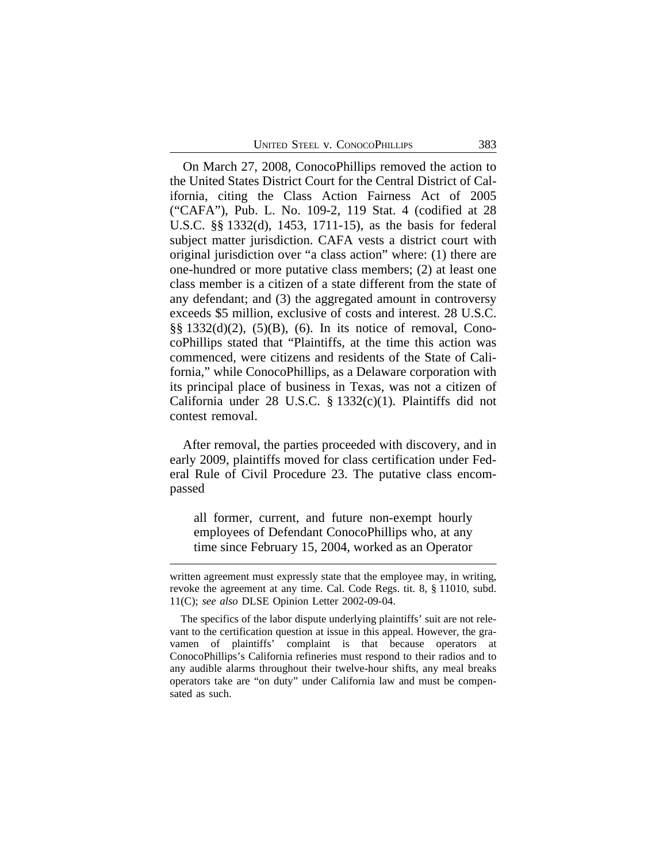On March 27, 2008, ConocoPhillips removed the action to the United States District Court for the Central District of California, citing the Class Action Fairness Act of 2005 ("CAFA"), Pub. L. No. 109-2, 119 Stat. 4 (codified at 28 U.S.C. §§ 1332(d), 1453, 1711-15), as the basis for federal subject matter jurisdiction. CAFA vests a district court with original jurisdiction over "a class action" where: (1) there are one-hundred or more putative class members; (2) at least one class member is a citizen of a state different from the state of any defendant; and (3) the aggregated amount in controversy exceeds \$5 million, exclusive of costs and interest. 28 U.S.C. §§ 1332(d)(2), (5)(B), (6). In its notice of removal, ConocoPhillips stated that "Plaintiffs, at the time this action was commenced, were citizens and residents of the State of California," while ConocoPhillips, as a Delaware corporation with its principal place of business in Texas, was not a citizen of California under 28 U.S.C. § 1332(c)(1). Plaintiffs did not contest removal.

After removal, the parties proceeded with discovery, and in early 2009, plaintiffs moved for class certification under Federal Rule of Civil Procedure 23. The putative class encompassed

all former, current, and future non-exempt hourly employees of Defendant ConocoPhillips who, at any time since February 15, 2004, worked as an Operator

written agreement must expressly state that the employee may, in writing, revoke the agreement at any time. Cal. Code Regs. tit. 8, § 11010, subd. 11(C); *see also* DLSE Opinion Letter 2002-09-04.

The specifics of the labor dispute underlying plaintiffs' suit are not relevant to the certification question at issue in this appeal. However, the gravamen of plaintiffs' complaint is that because operators at ConocoPhillips's California refineries must respond to their radios and to any audible alarms throughout their twelve-hour shifts, any meal breaks operators take are "on duty" under California law and must be compensated as such.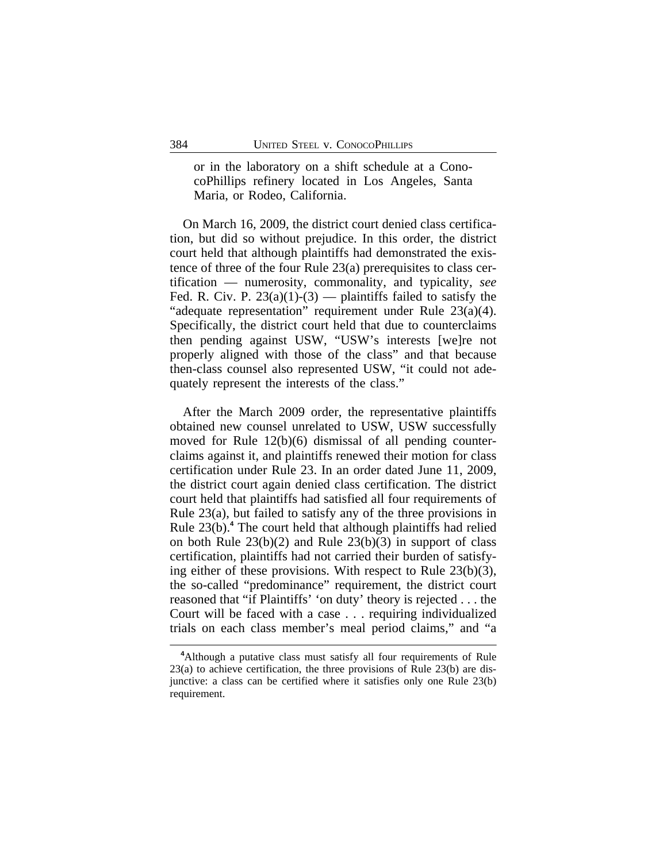or in the laboratory on a shift schedule at a ConocoPhillips refinery located in Los Angeles, Santa Maria, or Rodeo, California.

On March 16, 2009, the district court denied class certification, but did so without prejudice. In this order, the district court held that although plaintiffs had demonstrated the existence of three of the four Rule 23(a) prerequisites to class certification — numerosity, commonality, and typicality, *see* Fed. R. Civ. P.  $23(a)(1)-(3)$  — plaintiffs failed to satisfy the "adequate representation" requirement under Rule 23(a)(4). Specifically, the district court held that due to counterclaims then pending against USW, "USW's interests [we]re not properly aligned with those of the class" and that because then-class counsel also represented USW, "it could not adequately represent the interests of the class."

After the March 2009 order, the representative plaintiffs obtained new counsel unrelated to USW, USW successfully moved for Rule 12(b)(6) dismissal of all pending counterclaims against it, and plaintiffs renewed their motion for class certification under Rule 23. In an order dated June 11, 2009, the district court again denied class certification. The district court held that plaintiffs had satisfied all four requirements of Rule 23(a), but failed to satisfy any of the three provisions in Rule 23(b).**<sup>4</sup>** The court held that although plaintiffs had relied on both Rule 23(b)(2) and Rule 23(b)(3) in support of class certification, plaintiffs had not carried their burden of satisfying either of these provisions. With respect to Rule 23(b)(3), the so-called "predominance" requirement, the district court reasoned that "if Plaintiffs' 'on duty' theory is rejected . . . the Court will be faced with a case . . . requiring individualized trials on each class member's meal period claims," and "a

**<sup>4</sup>**Although a putative class must satisfy all four requirements of Rule 23(a) to achieve certification, the three provisions of Rule 23(b) are disjunctive: a class can be certified where it satisfies only one Rule 23(b) requirement.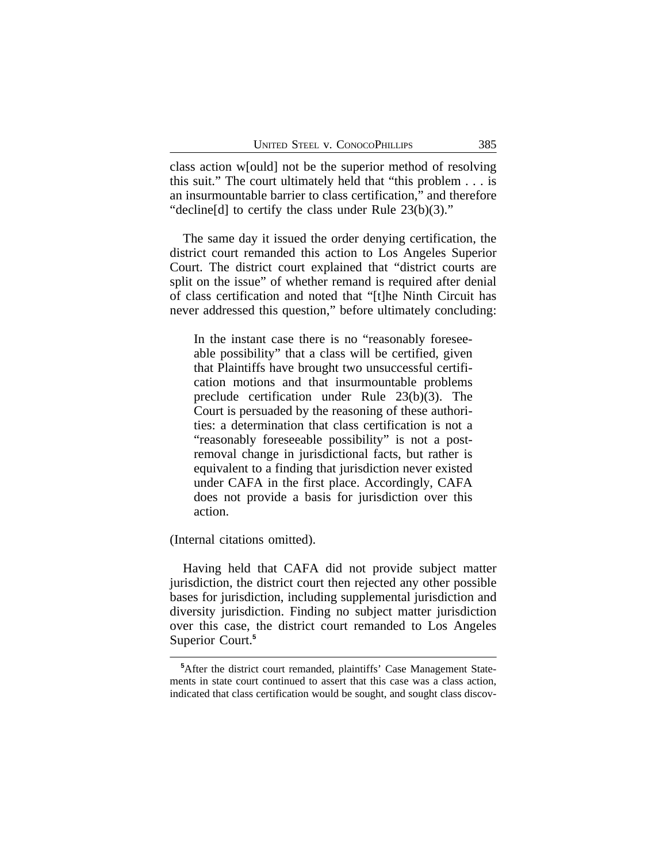class action w[ould] not be the superior method of resolving this suit." The court ultimately held that "this problem . . . is an insurmountable barrier to class certification," and therefore "decline[d] to certify the class under Rule 23(b)(3)."

The same day it issued the order denying certification, the district court remanded this action to Los Angeles Superior Court. The district court explained that "district courts are split on the issue" of whether remand is required after denial of class certification and noted that "[t]he Ninth Circuit has never addressed this question," before ultimately concluding:

In the instant case there is no "reasonably foreseeable possibility" that a class will be certified, given that Plaintiffs have brought two unsuccessful certification motions and that insurmountable problems preclude certification under Rule 23(b)(3). The Court is persuaded by the reasoning of these authorities: a determination that class certification is not a "reasonably foreseeable possibility" is not a postremoval change in jurisdictional facts, but rather is equivalent to a finding that jurisdiction never existed under CAFA in the first place. Accordingly, CAFA does not provide a basis for jurisdiction over this action.

(Internal citations omitted).

Having held that CAFA did not provide subject matter jurisdiction, the district court then rejected any other possible bases for jurisdiction, including supplemental jurisdiction and diversity jurisdiction. Finding no subject matter jurisdiction over this case, the district court remanded to Los Angeles Superior Court.**<sup>5</sup>**

**<sup>5</sup>**After the district court remanded, plaintiffs' Case Management Statements in state court continued to assert that this case was a class action, indicated that class certification would be sought, and sought class discov-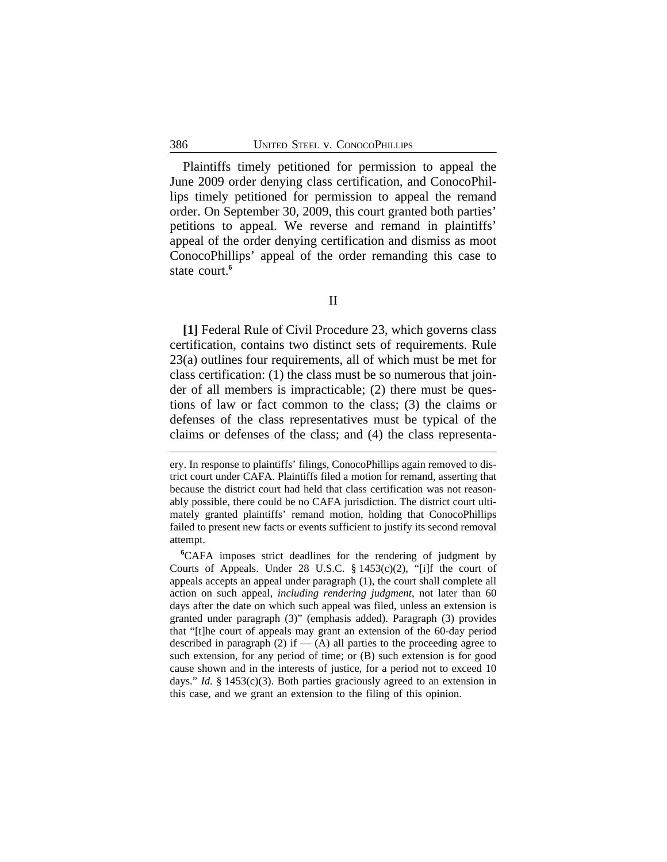Plaintiffs timely petitioned for permission to appeal the June 2009 order denying class certification, and ConocoPhillips timely petitioned for permission to appeal the remand order. On September 30, 2009, this court granted both parties' petitions to appeal. We reverse and remand in plaintiffs' appeal of the order denying certification and dismiss as moot ConocoPhillips' appeal of the order remanding this case to state court.**<sup>6</sup>**

**[1]** Federal Rule of Civil Procedure 23, which governs class certification, contains two distinct sets of requirements. Rule 23(a) outlines four requirements, all of which must be met for class certification: (1) the class must be so numerous that joinder of all members is impracticable; (2) there must be questions of law or fact common to the class; (3) the claims or defenses of the class representatives must be typical of the claims or defenses of the class; and (4) the class representa-

II

ery. In response to plaintiffs' filings, ConocoPhillips again removed to district court under CAFA. Plaintiffs filed a motion for remand, asserting that because the district court had held that class certification was not reasonably possible, there could be no CAFA jurisdiction. The district court ultimately granted plaintiffs' remand motion, holding that ConocoPhillips failed to present new facts or events sufficient to justify its second removal attempt.

**<sup>6</sup>**CAFA imposes strict deadlines for the rendering of judgment by Courts of Appeals. Under 28 U.S.C. § 1453(c)(2), "[i]f the court of appeals accepts an appeal under paragraph (1), the court shall complete all action on such appeal, *including rendering judgment*, not later than 60 days after the date on which such appeal was filed, unless an extension is granted under paragraph (3)" (emphasis added). Paragraph (3) provides that "[t]he court of appeals may grant an extension of the 60-day period described in paragraph  $(2)$  if  $-$  (A) all parties to the proceeding agree to such extension, for any period of time; or (B) such extension is for good cause shown and in the interests of justice, for a period not to exceed 10 days." *Id.* § 1453(c)(3). Both parties graciously agreed to an extension in this case, and we grant an extension to the filing of this opinion.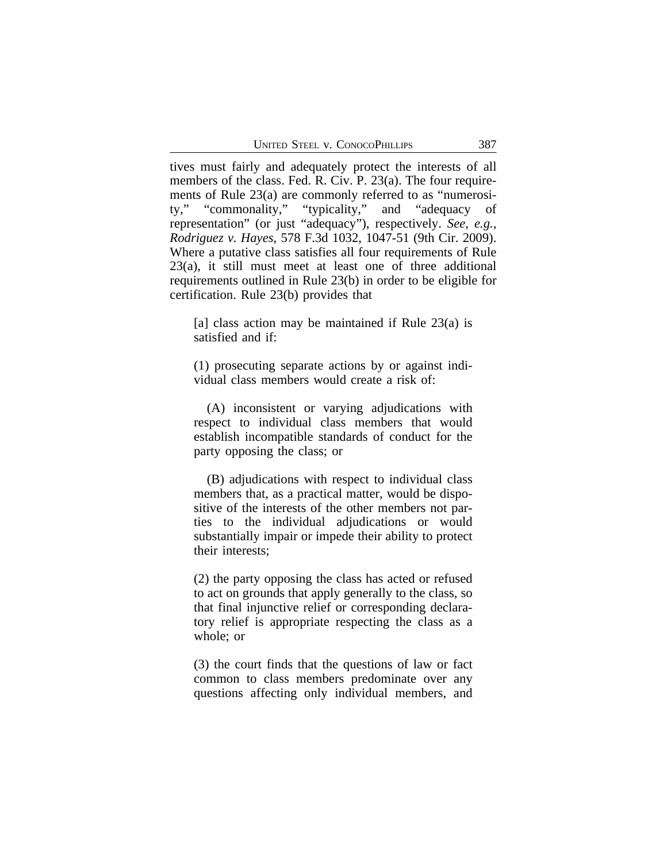tives must fairly and adequately protect the interests of all members of the class. Fed. R. Civ. P. 23(a). The four requirements of Rule 23(a) are commonly referred to as "numerosity," "commonality," "typicality," and "adequacy representation" (or just "adequacy"), respectively. *See, e.g., Rodriguez v. Hayes*, 578 F.3d 1032, 1047-51 (9th Cir. 2009). Where a putative class satisfies all four requirements of Rule 23(a), it still must meet at least one of three additional requirements outlined in Rule 23(b) in order to be eligible for certification. Rule 23(b) provides that

[a] class action may be maintained if Rule 23(a) is satisfied and if:

(1) prosecuting separate actions by or against individual class members would create a risk of:

(A) inconsistent or varying adjudications with respect to individual class members that would establish incompatible standards of conduct for the party opposing the class; or

(B) adjudications with respect to individual class members that, as a practical matter, would be dispositive of the interests of the other members not parties to the individual adjudications or would substantially impair or impede their ability to protect their interests;

(2) the party opposing the class has acted or refused to act on grounds that apply generally to the class, so that final injunctive relief or corresponding declaratory relief is appropriate respecting the class as a whole; or

(3) the court finds that the questions of law or fact common to class members predominate over any questions affecting only individual members, and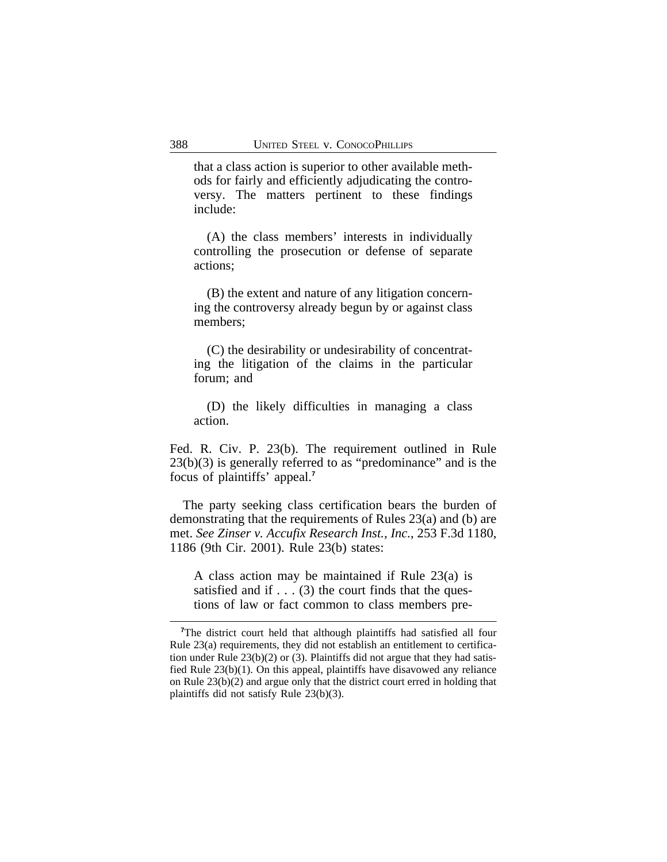that a class action is superior to other available methods for fairly and efficiently adjudicating the controversy. The matters pertinent to these findings include:

(A) the class members' interests in individually controlling the prosecution or defense of separate actions;

(B) the extent and nature of any litigation concerning the controversy already begun by or against class members;

(C) the desirability or undesirability of concentrating the litigation of the claims in the particular forum; and

(D) the likely difficulties in managing a class action.

Fed. R. Civ. P. 23(b). The requirement outlined in Rule 23(b)(3) is generally referred to as "predominance" and is the focus of plaintiffs' appeal.**<sup>7</sup>**

The party seeking class certification bears the burden of demonstrating that the requirements of Rules 23(a) and (b) are met. *See Zinser v. Accufix Research Inst., Inc.*, 253 F.3d 1180, 1186 (9th Cir. 2001). Rule 23(b) states:

A class action may be maintained if Rule 23(a) is satisfied and if  $\dots$  (3) the court finds that the questions of law or fact common to class members pre-

<sup>&</sup>lt;sup>7</sup>The district court held that although plaintiffs had satisfied all four Rule 23(a) requirements, they did not establish an entitlement to certification under Rule 23(b)(2) or (3). Plaintiffs did not argue that they had satisfied Rule 23(b)(1). On this appeal, plaintiffs have disavowed any reliance on Rule 23(b)(2) and argue only that the district court erred in holding that plaintiffs did not satisfy Rule 23(b)(3).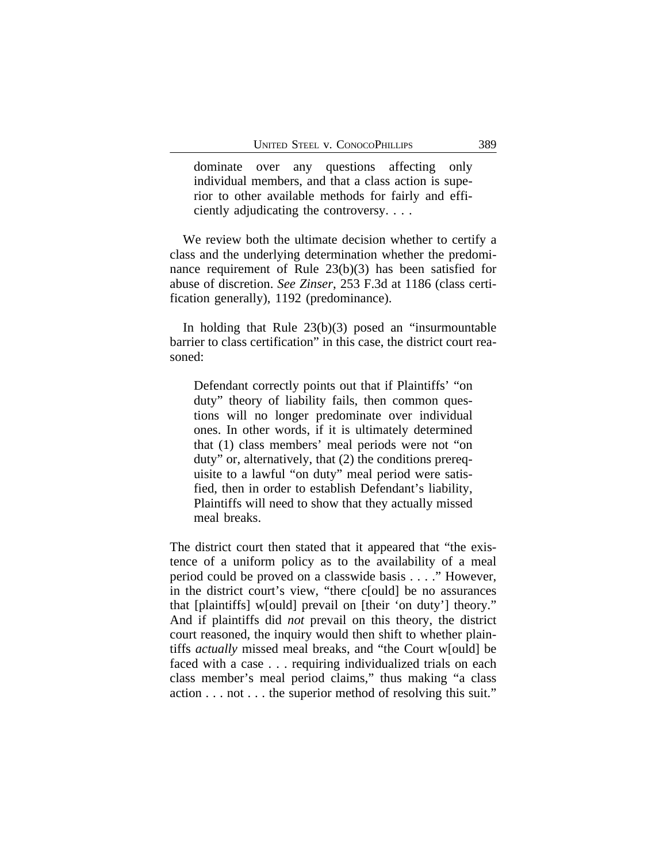dominate over any questions affecting only individual members, and that a class action is superior to other available methods for fairly and efficiently adjudicating the controversy. . . .

We review both the ultimate decision whether to certify a class and the underlying determination whether the predominance requirement of Rule 23(b)(3) has been satisfied for abuse of discretion. *See Zinser*, 253 F.3d at 1186 (class certification generally), 1192 (predominance).

In holding that Rule 23(b)(3) posed an "insurmountable barrier to class certification" in this case, the district court reasoned:

Defendant correctly points out that if Plaintiffs' "on duty" theory of liability fails, then common questions will no longer predominate over individual ones. In other words, if it is ultimately determined that (1) class members' meal periods were not "on duty" or, alternatively, that (2) the conditions prerequisite to a lawful "on duty" meal period were satisfied, then in order to establish Defendant's liability, Plaintiffs will need to show that they actually missed meal breaks.

The district court then stated that it appeared that "the existence of a uniform policy as to the availability of a meal period could be proved on a classwide basis . . . ." However, in the district court's view, "there c[ould] be no assurances that [plaintiffs] w[ould] prevail on [their 'on duty'] theory." And if plaintiffs did *not* prevail on this theory, the district court reasoned, the inquiry would then shift to whether plaintiffs *actually* missed meal breaks, and "the Court w[ould] be faced with a case . . . requiring individualized trials on each class member's meal period claims," thus making "a class action . . . not . . . the superior method of resolving this suit."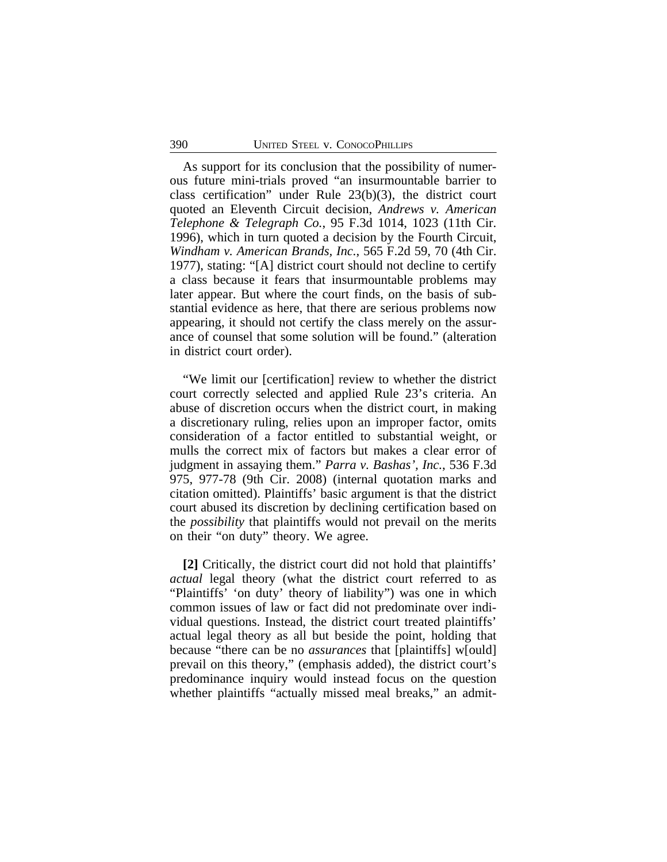As support for its conclusion that the possibility of numerous future mini-trials proved "an insurmountable barrier to class certification" under Rule 23(b)(3), the district court quoted an Eleventh Circuit decision, *Andrews v. American Telephone & Telegraph Co.*, 95 F.3d 1014, 1023 (11th Cir. 1996), which in turn quoted a decision by the Fourth Circuit, *Windham v. American Brands, Inc.*, 565 F.2d 59, 70 (4th Cir. 1977), stating: "[A] district court should not decline to certify a class because it fears that insurmountable problems may later appear. But where the court finds, on the basis of substantial evidence as here, that there are serious problems now appearing, it should not certify the class merely on the assurance of counsel that some solution will be found." (alteration in district court order).

"We limit our [certification] review to whether the district court correctly selected and applied Rule 23's criteria. An abuse of discretion occurs when the district court, in making a discretionary ruling, relies upon an improper factor, omits consideration of a factor entitled to substantial weight, or mulls the correct mix of factors but makes a clear error of judgment in assaying them." *Parra v. Bashas', Inc.*, 536 F.3d 975, 977-78 (9th Cir. 2008) (internal quotation marks and citation omitted). Plaintiffs' basic argument is that the district court abused its discretion by declining certification based on the *possibility* that plaintiffs would not prevail on the merits on their "on duty" theory. We agree.

**[2]** Critically, the district court did not hold that plaintiffs' *actual* legal theory (what the district court referred to as "Plaintiffs' 'on duty' theory of liability") was one in which common issues of law or fact did not predominate over individual questions. Instead, the district court treated plaintiffs' actual legal theory as all but beside the point, holding that because "there can be no *assurances* that [plaintiffs] w[ould] prevail on this theory," (emphasis added), the district court's predominance inquiry would instead focus on the question whether plaintiffs "actually missed meal breaks," an admit-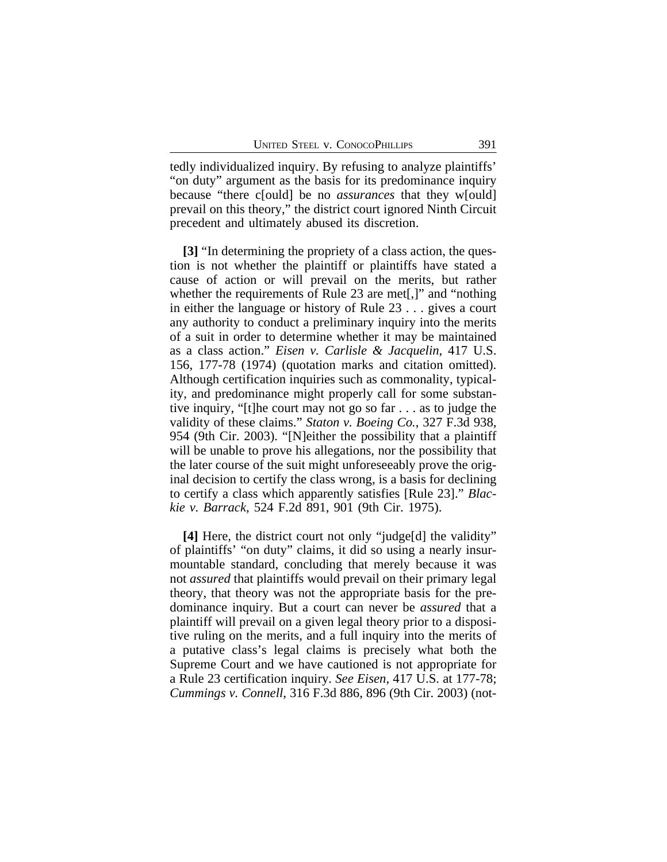tedly individualized inquiry. By refusing to analyze plaintiffs' "on duty" argument as the basis for its predominance inquiry because "there c[ould] be no *assurances* that they w[ould] prevail on this theory," the district court ignored Ninth Circuit precedent and ultimately abused its discretion.

**[3]** "In determining the propriety of a class action, the question is not whether the plaintiff or plaintiffs have stated a cause of action or will prevail on the merits, but rather whether the requirements of Rule 23 are met[,]" and "nothing in either the language or history of Rule 23 . . . gives a court any authority to conduct a preliminary inquiry into the merits of a suit in order to determine whether it may be maintained as a class action." *Eisen v. Carlisle & Jacquelin*, 417 U.S. 156, 177-78 (1974) (quotation marks and citation omitted). Although certification inquiries such as commonality, typicality, and predominance might properly call for some substantive inquiry, "[t]he court may not go so far . . . as to judge the validity of these claims." *Staton v. Boeing Co.*, 327 F.3d 938, 954 (9th Cir. 2003). "[N]either the possibility that a plaintiff will be unable to prove his allegations, nor the possibility that the later course of the suit might unforeseeably prove the original decision to certify the class wrong, is a basis for declining to certify a class which apparently satisfies [Rule 23]." *Blackie v. Barrack*, 524 F.2d 891, 901 (9th Cir. 1975).

**[4]** Here, the district court not only "judge[d] the validity" of plaintiffs' "on duty" claims, it did so using a nearly insurmountable standard, concluding that merely because it was not *assured* that plaintiffs would prevail on their primary legal theory, that theory was not the appropriate basis for the predominance inquiry. But a court can never be *assured* that a plaintiff will prevail on a given legal theory prior to a dispositive ruling on the merits, and a full inquiry into the merits of a putative class's legal claims is precisely what both the Supreme Court and we have cautioned is not appropriate for a Rule 23 certification inquiry. *See Eisen*, 417 U.S. at 177-78; *Cummings v. Connell*, 316 F.3d 886, 896 (9th Cir. 2003) (not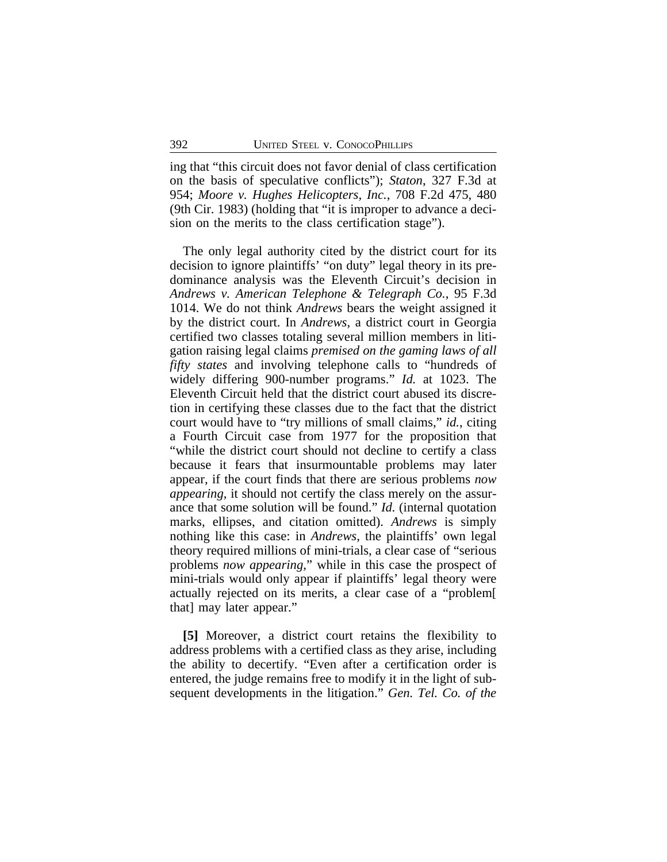ing that "this circuit does not favor denial of class certification on the basis of speculative conflicts"); *Staton*, 327 F.3d at 954; *Moore v. Hughes Helicopters, Inc.*, 708 F.2d 475, 480 (9th Cir. 1983) (holding that "it is improper to advance a decision on the merits to the class certification stage").

The only legal authority cited by the district court for its decision to ignore plaintiffs' "on duty" legal theory in its predominance analysis was the Eleventh Circuit's decision in *Andrews v. American Telephone & Telegraph Co.*, 95 F.3d 1014. We do not think *Andrews* bears the weight assigned it by the district court. In *Andrews*, a district court in Georgia certified two classes totaling several million members in litigation raising legal claims *premised on the gaming laws of all fifty states* and involving telephone calls to "hundreds of widely differing 900-number programs." *Id.* at 1023. The Eleventh Circuit held that the district court abused its discretion in certifying these classes due to the fact that the district court would have to "try millions of small claims," *id.*, citing a Fourth Circuit case from 1977 for the proposition that "while the district court should not decline to certify a class because it fears that insurmountable problems may later appear, if the court finds that there are serious problems *now appearing*, it should not certify the class merely on the assurance that some solution will be found." *Id.* (internal quotation marks, ellipses, and citation omitted). *Andrews* is simply nothing like this case: in *Andrews*, the plaintiffs' own legal theory required millions of mini-trials, a clear case of "serious problems *now appearing*," while in this case the prospect of mini-trials would only appear if plaintiffs' legal theory were actually rejected on its merits, a clear case of a "problem[ that] may later appear."

**[5]** Moreover, a district court retains the flexibility to address problems with a certified class as they arise, including the ability to decertify. "Even after a certification order is entered, the judge remains free to modify it in the light of subsequent developments in the litigation." *Gen. Tel. Co. of the*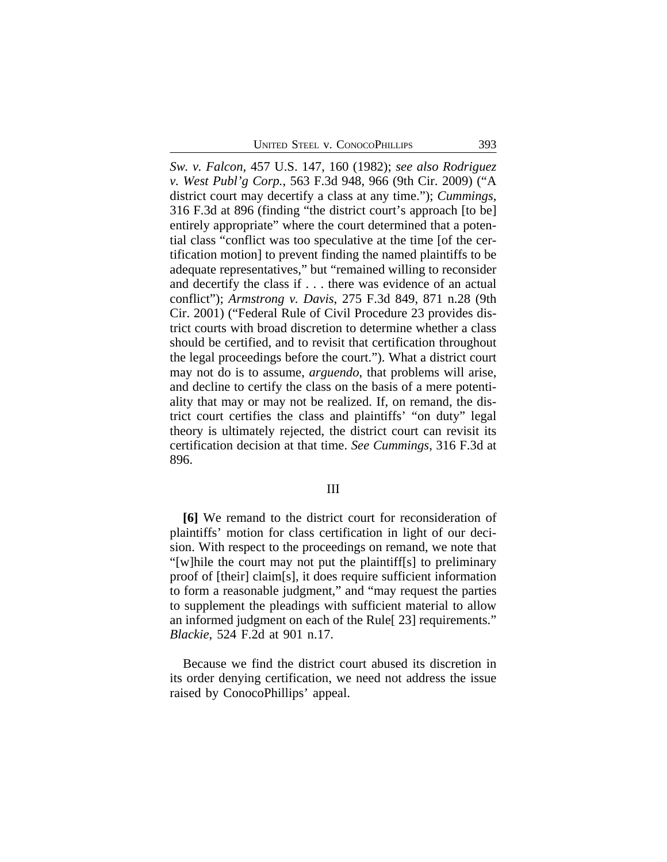*Sw. v. Falcon*, 457 U.S. 147, 160 (1982); *see also Rodriguez v. West Publ'g Corp.*, 563 F.3d 948, 966 (9th Cir. 2009) ("A district court may decertify a class at any time."); *Cummings*, 316 F.3d at 896 (finding "the district court's approach [to be] entirely appropriate" where the court determined that a potential class "conflict was too speculative at the time [of the certification motion] to prevent finding the named plaintiffs to be adequate representatives," but "remained willing to reconsider and decertify the class if . . . there was evidence of an actual conflict"); *Armstrong v. Davis*, 275 F.3d 849, 871 n.28 (9th Cir. 2001) ("Federal Rule of Civil Procedure 23 provides district courts with broad discretion to determine whether a class should be certified, and to revisit that certification throughout the legal proceedings before the court."). What a district court may not do is to assume, *arguendo*, that problems will arise, and decline to certify the class on the basis of a mere potentiality that may or may not be realized. If, on remand, the district court certifies the class and plaintiffs' "on duty" legal theory is ultimately rejected, the district court can revisit its certification decision at that time. *See Cummings*, 316 F.3d at 896.

#### III

**[6]** We remand to the district court for reconsideration of plaintiffs' motion for class certification in light of our decision. With respect to the proceedings on remand, we note that "[w]hile the court may not put the plaintiff[s] to preliminary proof of [their] claim[s], it does require sufficient information to form a reasonable judgment," and "may request the parties to supplement the pleadings with sufficient material to allow an informed judgment on each of the Rule[ 23] requirements." *Blackie*, 524 F.2d at 901 n.17.

Because we find the district court abused its discretion in its order denying certification, we need not address the issue raised by ConocoPhillips' appeal.